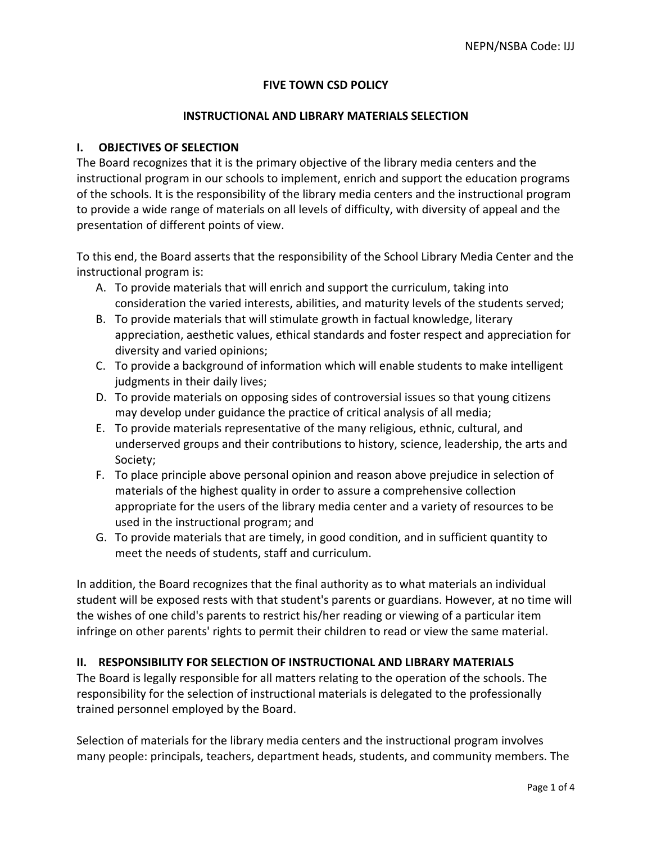# **FIVE TOWN CSD POLICY**

#### **INSTRUCTIONAL AND LIBRARY MATERIALS SELECTION**

## **I. OBJECTIVES OF SELECTION**

The Board recognizes that it is the primary objective of the library media centers and the instructional program in our schools to implement, enrich and support the education programs of the schools. It is the responsibility of the library media centers and the instructional program to provide a wide range of materials on all levels of difficulty, with diversity of appeal and the presentation of different points of view.

To this end, the Board asserts that the responsibility of the School Library Media Center and the instructional program is:

- A. To provide materials that will enrich and support the curriculum, taking into consideration the varied interests, abilities, and maturity levels of the students served;
- B. To provide materials that will stimulate growth in factual knowledge, literary appreciation, aesthetic values, ethical standards and foster respect and appreciation for diversity and varied opinions;
- C. To provide a background of information which will enable students to make intelligent judgments in their daily lives;
- D. To provide materials on opposing sides of controversial issues so that young citizens may develop under guidance the practice of critical analysis of all media;
- E. To provide materials representative of the many religious, ethnic, cultural, and underserved groups and their contributions to history, science, leadership, the arts and Society;
- F. To place principle above personal opinion and reason above prejudice in selection of materials of the highest quality in order to assure a comprehensive collection appropriate for the users of the library media center and a variety of resources to be used in the instructional program; and
- G. To provide materials that are timely, in good condition, and in sufficient quantity to meet the needs of students, staff and curriculum.

In addition, the Board recognizes that the final authority as to what materials an individual student will be exposed rests with that student's parents or guardians. However, at no time will the wishes of one child's parents to restrict his/her reading or viewing of a particular item infringe on other parents' rights to permit their children to read or view the same material.

## **II. RESPONSIBILITY FOR SELECTION OF INSTRUCTIONAL AND LIBRARY MATERIALS**

The Board is legally responsible for all matters relating to the operation of the schools. The responsibility for the selection of instructional materials is delegated to the professionally trained personnel employed by the Board.

Selection of materials for the library media centers and the instructional program involves many people: principals, teachers, department heads, students, and community members. The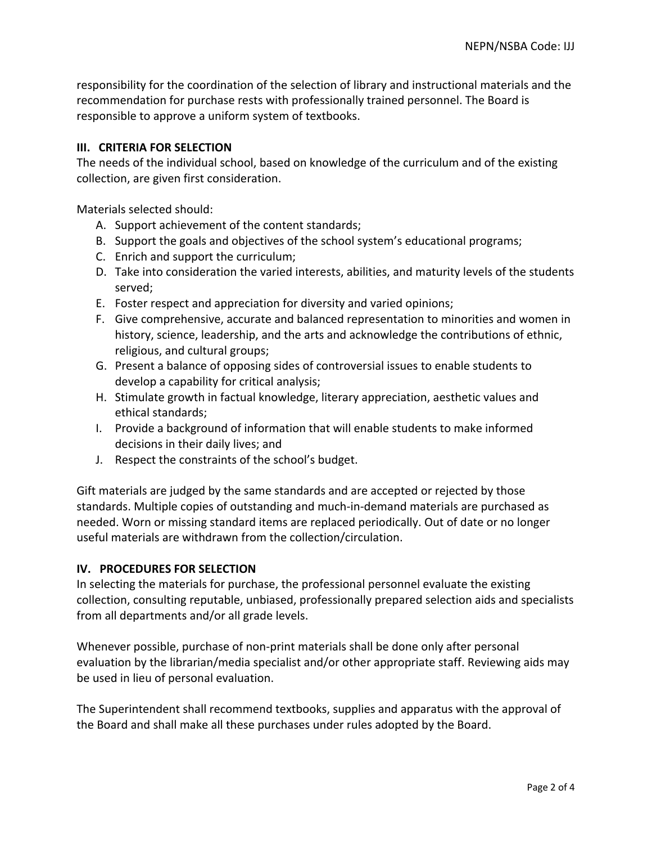responsibility for the coordination of the selection of library and instructional materials and the recommendation for purchase rests with professionally trained personnel. The Board is responsible to approve a uniform system of textbooks.

# **III. CRITERIA FOR SELECTION**

The needs of the individual school, based on knowledge of the curriculum and of the existing collection, are given first consideration.

Materials selected should:

- A. Support achievement of the content standards;
- B. Support the goals and objectives of the school system's educational programs;
- C. Enrich and support the curriculum;
- D. Take into consideration the varied interests, abilities, and maturity levels of the students served;
- E. Foster respect and appreciation for diversity and varied opinions;
- F. Give comprehensive, accurate and balanced representation to minorities and women in history, science, leadership, and the arts and acknowledge the contributions of ethnic, religious, and cultural groups;
- G. Present a balance of opposing sides of controversial issues to enable students to develop a capability for critical analysis;
- H. Stimulate growth in factual knowledge, literary appreciation, aesthetic values and ethical standards;
- I. Provide a background of information that will enable students to make informed decisions in their daily lives; and
- J. Respect the constraints of the school's budget.

Gift materials are judged by the same standards and are accepted or rejected by those standards. Multiple copies of outstanding and much-in-demand materials are purchased as needed. Worn or missing standard items are replaced periodically. Out of date or no longer useful materials are withdrawn from the collection/circulation.

## **IV. PROCEDURES FOR SELECTION**

In selecting the materials for purchase, the professional personnel evaluate the existing collection, consulting reputable, unbiased, professionally prepared selection aids and specialists from all departments and/or all grade levels.

Whenever possible, purchase of non-print materials shall be done only after personal evaluation by the librarian/media specialist and/or other appropriate staff. Reviewing aids may be used in lieu of personal evaluation.

The Superintendent shall recommend textbooks, supplies and apparatus with the approval of the Board and shall make all these purchases under rules adopted by the Board.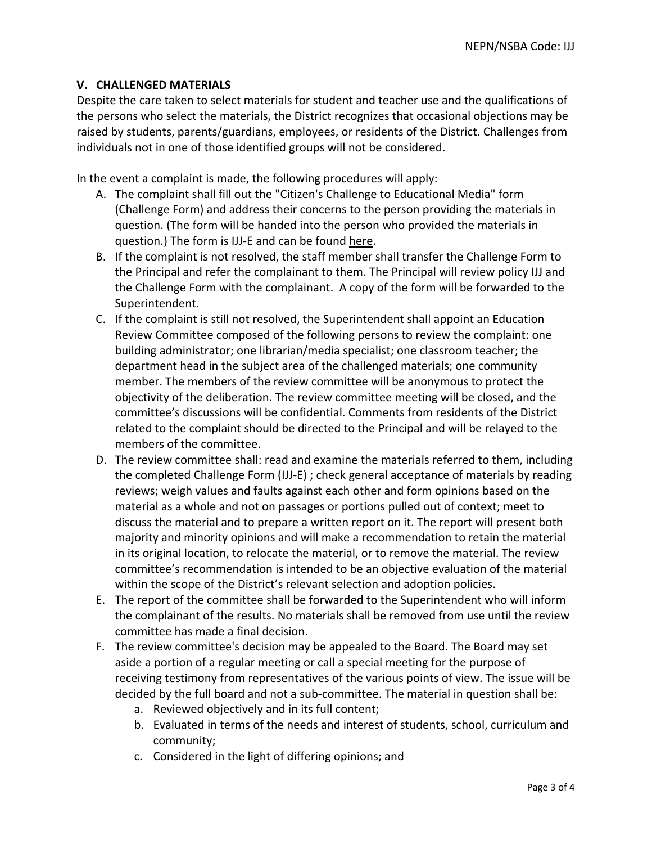# **V. CHALLENGED MATERIALS**

Despite the care taken to select materials for student and teacher use and the qualifications of the persons who select the materials, the District recognizes that occasional objections may be raised by students, parents/guardians, employees, or residents of the District. Challenges from individuals not in one of those identified groups will not be considered.

In the event a complaint is made, the following procedures will apply:

- A. The complaint shall fill out the "Citizen's Challenge to Educational Media" form (Challenge Form) and address their concerns to the person providing the materials in question. (The form will be handed into the person who provided the materials in question.) The form is IJJ-E and can be found here.
- B. If the complaint is not resolved, the staff member shall transfer the Challenge Form to the Principal and refer the complainant to them. The Principal will review policy IJJ and the Challenge Form with the complainant. A copy of the form will be forwarded to the Superintendent.
- C. If the complaint is still not resolved, the Superintendent shall appoint an Education Review Committee composed of the following persons to review the complaint: one building administrator; one librarian/media specialist; one classroom teacher; the department head in the subject area of the challenged materials; one community member. The members of the review committee will be anonymous to protect the objectivity of the deliberation. The review committee meeting will be closed, and the committee's discussions will be confidential. Comments from residents of the District related to the complaint should be directed to the Principal and will be relayed to the members of the committee.
- D. The review committee shall: read and examine the materials referred to them, including the completed Challenge Form (IJJ-E) ; check general acceptance of materials by reading reviews; weigh values and faults against each other and form opinions based on the material as a whole and not on passages or portions pulled out of context; meet to discuss the material and to prepare a written report on it. The report will present both majority and minority opinions and will make a recommendation to retain the material in its original location, to relocate the material, or to remove the material. The review committee's recommendation is intended to be an objective evaluation of the material within the scope of the District's relevant selection and adoption policies.
- E. The report of the committee shall be forwarded to the Superintendent who will inform the complainant of the results. No materials shall be removed from use until the review committee has made a final decision.
- F. The review committee's decision may be appealed to the Board. The Board may set aside a portion of a regular meeting or call a special meeting for the purpose of receiving testimony from representatives of the various points of view. The issue will be decided by the full board and not a sub-committee. The material in question shall be:
	- a. Reviewed objectively and in its full content;
	- b. Evaluated in terms of the needs and interest of students, school, curriculum and community;
	- c. Considered in the light of differing opinions; and